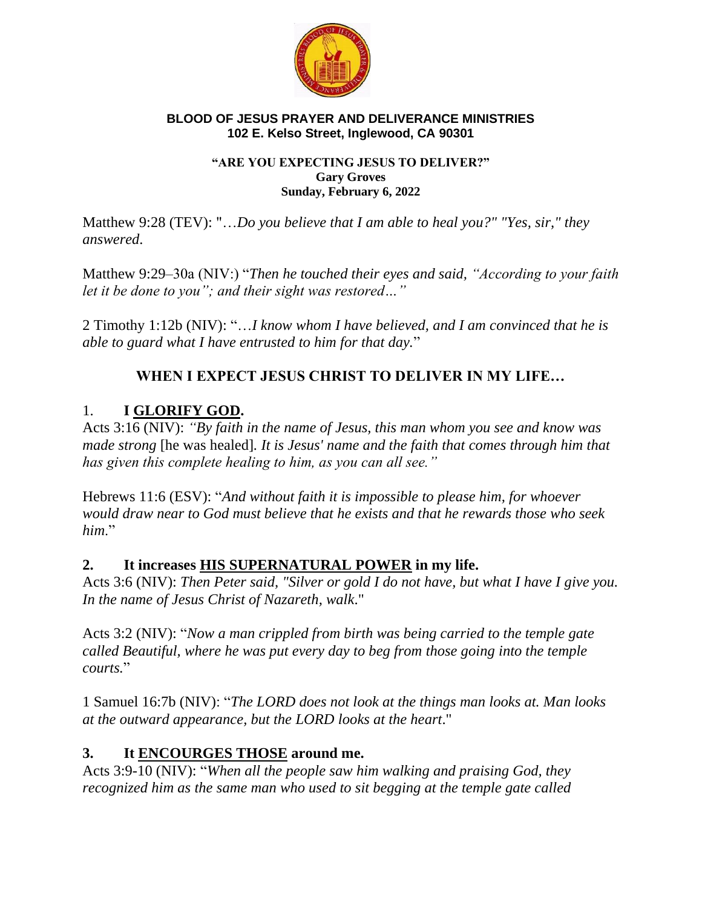

#### **BLOOD OF JESUS PRAYER AND DELIVERANCE MINISTRIES 102 E. Kelso Street, Inglewood, CA 90301**

#### **"ARE YOU EXPECTING JESUS TO DELIVER?" Gary Groves Sunday, February 6, 2022**

Matthew 9:28 (TEV): "…*Do you believe that I am able to heal you?" "Yes, sir," they answered*.

Matthew 9:29–30a (NIV:) "*Then he touched their eyes and said, "According to your faith let it be done to you"; and their sight was restored…"*

2 Timothy 1:12b (NIV): "…*I know whom I have believed, and I am convinced that he is able to guard what I have entrusted to him for that day.*"

# **WHEN I EXPECT JESUS CHRIST TO DELIVER IN MY LIFE…**

# 1. **I GLORIFY GOD.**

Acts 3:16 (NIV): *"By faith in the name of Jesus, this man whom you see and know was made strong* [he was healed]*. It is Jesus' name and the faith that comes through him that has given this complete healing to him, as you can all see."*

Hebrews 11:6 (ESV): "*And without faith it is impossible to please him, for whoever would draw near to God must believe that he exists and that he rewards those who seek him*."

### **2. It increases HIS SUPERNATURAL POWER in my life.**

Acts 3:6 (NIV): *Then Peter said, "Silver or gold I do not have, but what I have I give you. In the name of Jesus Christ of Nazareth, walk*."

Acts 3:2 (NIV): "*Now a man crippled from birth was being carried to the temple gate called Beautiful, where he was put every day to beg from those going into the temple courts.*"

1 Samuel 16:7b (NIV): "*The LORD does not look at the things man looks at. Man looks at the outward appearance, but the LORD looks at the heart*."

# **3. It ENCOURGES THOSE around me.**

Acts 3:9-10 (NIV): "*When all the people saw him walking and praising God, they recognized him as the same man who used to sit begging at the temple gate called*